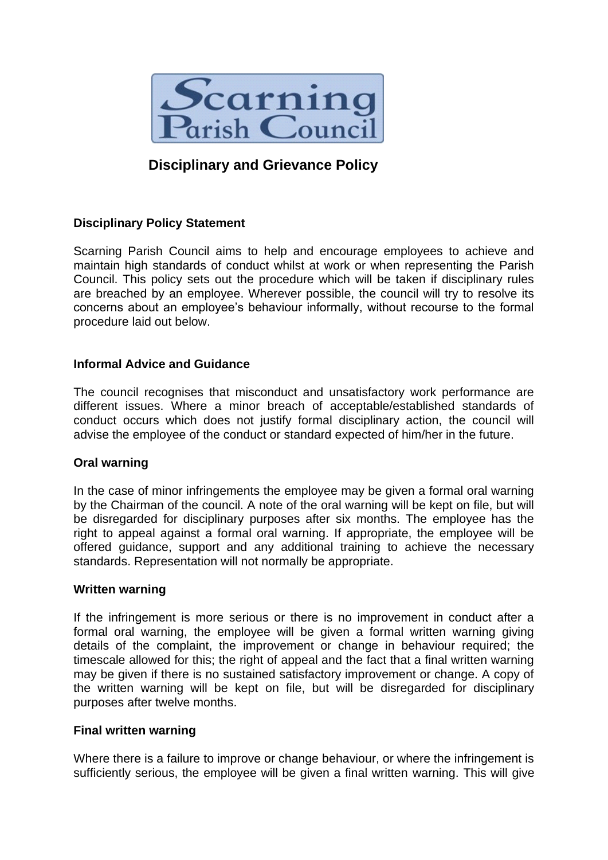

# **Disciplinary and Grievance Policy**

# **Disciplinary Policy Statement**

Scarning Parish Council aims to help and encourage employees to achieve and maintain high standards of conduct whilst at work or when representing the Parish Council. This policy sets out the procedure which will be taken if disciplinary rules are breached by an employee. Wherever possible, the council will try to resolve its concerns about an employee's behaviour informally, without recourse to the formal procedure laid out below.

## **Informal Advice and Guidance**

The council recognises that misconduct and unsatisfactory work performance are different issues. Where a minor breach of acceptable/established standards of conduct occurs which does not justify formal disciplinary action, the council will advise the employee of the conduct or standard expected of him/her in the future.

## **Oral warning**

In the case of minor infringements the employee may be given a formal oral warning by the Chairman of the council. A note of the oral warning will be kept on file, but will be disregarded for disciplinary purposes after six months. The employee has the right to appeal against a formal oral warning. If appropriate, the employee will be offered guidance, support and any additional training to achieve the necessary standards. Representation will not normally be appropriate.

#### **Written warning**

If the infringement is more serious or there is no improvement in conduct after a formal oral warning, the employee will be given a formal written warning giving details of the complaint, the improvement or change in behaviour required; the timescale allowed for this; the right of appeal and the fact that a final written warning may be given if there is no sustained satisfactory improvement or change. A copy of the written warning will be kept on file, but will be disregarded for disciplinary purposes after twelve months.

## **Final written warning**

Where there is a failure to improve or change behaviour, or where the infringement is sufficiently serious, the employee will be given a final written warning. This will give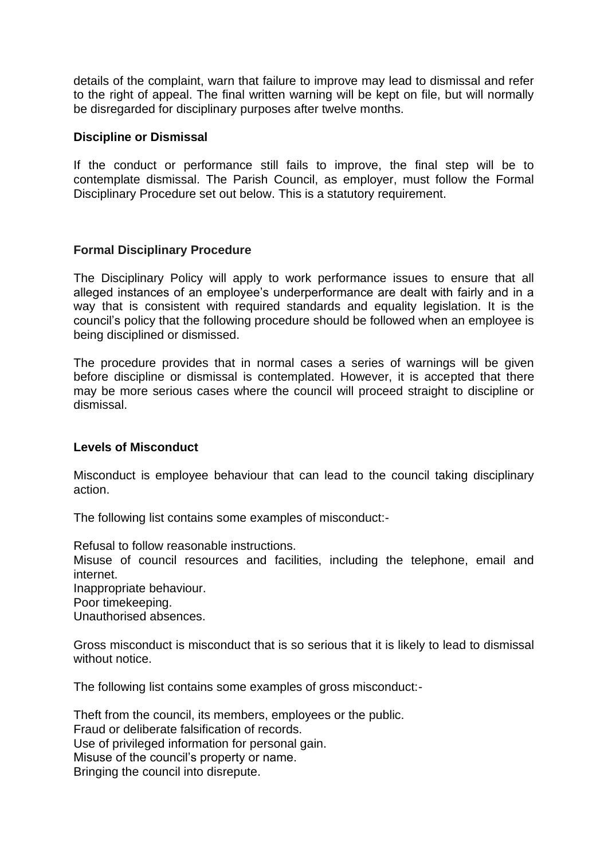details of the complaint, warn that failure to improve may lead to dismissal and refer to the right of appeal. The final written warning will be kept on file, but will normally be disregarded for disciplinary purposes after twelve months.

#### **Discipline or Dismissal**

If the conduct or performance still fails to improve, the final step will be to contemplate dismissal. The Parish Council, as employer, must follow the Formal Disciplinary Procedure set out below. This is a statutory requirement.

#### **Formal Disciplinary Procedure**

The Disciplinary Policy will apply to work performance issues to ensure that all alleged instances of an employee's underperformance are dealt with fairly and in a way that is consistent with required standards and equality legislation. It is the council's policy that the following procedure should be followed when an employee is being disciplined or dismissed.

The procedure provides that in normal cases a series of warnings will be given before discipline or dismissal is contemplated. However, it is accepted that there may be more serious cases where the council will proceed straight to discipline or dismissal.

#### **Levels of Misconduct**

Misconduct is employee behaviour that can lead to the council taking disciplinary action.

The following list contains some examples of misconduct:-

Refusal to follow reasonable instructions.

Misuse of council resources and facilities, including the telephone, email and internet.

Inappropriate behaviour. Poor timekeeping. Unauthorised absences.

Gross misconduct is misconduct that is so serious that it is likely to lead to dismissal without notice.

The following list contains some examples of gross misconduct:-

Theft from the council, its members, employees or the public. Fraud or deliberate falsification of records. Use of privileged information for personal gain. Misuse of the council's property or name. Bringing the council into disrepute.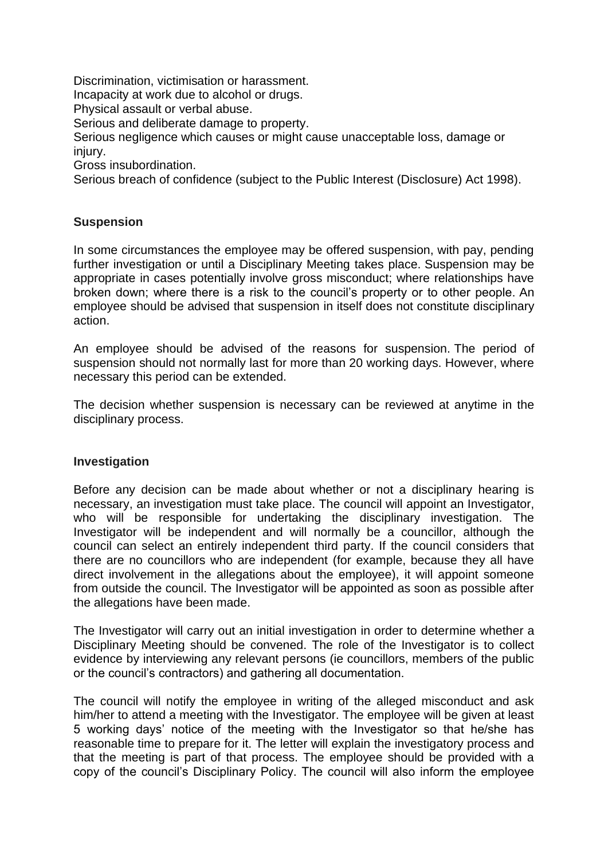Discrimination, victimisation or harassment. Incapacity at work due to alcohol or drugs. Physical assault or verbal abuse.

Serious and deliberate damage to property.

Serious negligence which causes or might cause unacceptable loss, damage or injury.

Gross insubordination.

Serious breach of confidence (subject to the Public Interest (Disclosure) Act 1998).

# **Suspension**

In some circumstances the employee may be offered suspension, with pay, pending further investigation or until a Disciplinary Meeting takes place. Suspension may be appropriate in cases potentially involve gross misconduct; where relationships have broken down; where there is a risk to the council's property or to other people. An employee should be advised that suspension in itself does not constitute disciplinary action.

An employee should be advised of the reasons for suspension. The period of suspension should not normally last for more than 20 working days. However, where necessary this period can be extended.

The decision whether suspension is necessary can be reviewed at anytime in the disciplinary process.

## **Investigation**

Before any decision can be made about whether or not a disciplinary hearing is necessary, an investigation must take place. The council will appoint an Investigator, who will be responsible for undertaking the disciplinary investigation. The Investigator will be independent and will normally be a councillor, although the council can select an entirely independent third party. If the council considers that there are no councillors who are independent (for example, because they all have direct involvement in the allegations about the employee), it will appoint someone from outside the council. The Investigator will be appointed as soon as possible after the allegations have been made.

The Investigator will carry out an initial investigation in order to determine whether a Disciplinary Meeting should be convened. The role of the Investigator is to collect evidence by interviewing any relevant persons (ie councillors, members of the public or the council's contractors) and gathering all documentation.

The council will notify the employee in writing of the alleged misconduct and ask him/her to attend a meeting with the Investigator. The employee will be given at least 5 working days' notice of the meeting with the Investigator so that he/she has reasonable time to prepare for it. The letter will explain the investigatory process and that the meeting is part of that process. The employee should be provided with a copy of the council's Disciplinary Policy. The council will also inform the employee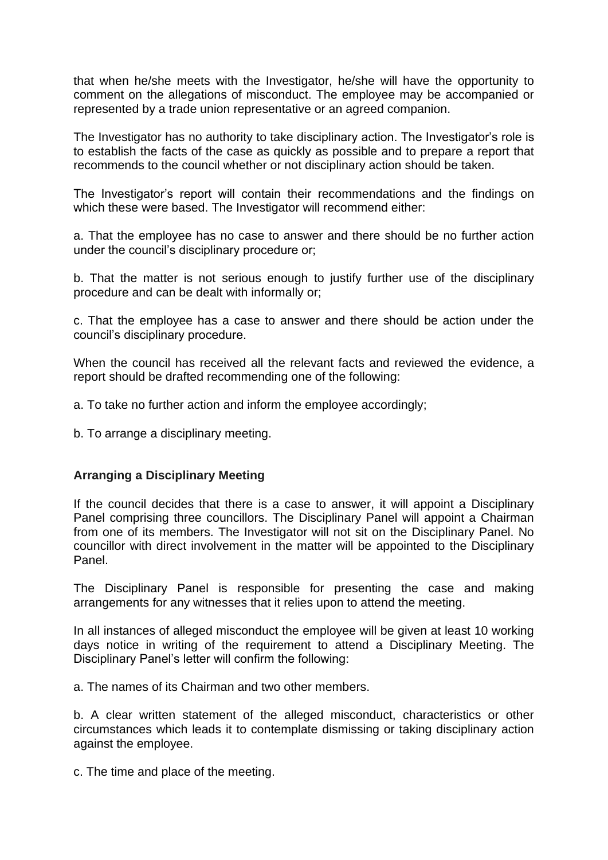that when he/she meets with the Investigator, he/she will have the opportunity to comment on the allegations of misconduct. The employee may be accompanied or represented by a trade union representative or an agreed companion.

The Investigator has no authority to take disciplinary action. The Investigator's role is to establish the facts of the case as quickly as possible and to prepare a report that recommends to the council whether or not disciplinary action should be taken.

The Investigator's report will contain their recommendations and the findings on which these were based. The Investigator will recommend either:

a. That the employee has no case to answer and there should be no further action under the council's disciplinary procedure or;

b. That the matter is not serious enough to justify further use of the disciplinary procedure and can be dealt with informally or;

c. That the employee has a case to answer and there should be action under the council's disciplinary procedure.

When the council has received all the relevant facts and reviewed the evidence, a report should be drafted recommending one of the following:

a. To take no further action and inform the employee accordingly;

b. To arrange a disciplinary meeting.

## **Arranging a Disciplinary Meeting**

If the council decides that there is a case to answer, it will appoint a Disciplinary Panel comprising three councillors. The Disciplinary Panel will appoint a Chairman from one of its members. The Investigator will not sit on the Disciplinary Panel. No councillor with direct involvement in the matter will be appointed to the Disciplinary Panel.

The Disciplinary Panel is responsible for presenting the case and making arrangements for any witnesses that it relies upon to attend the meeting.

In all instances of alleged misconduct the employee will be given at least 10 working days notice in writing of the requirement to attend a Disciplinary Meeting. The Disciplinary Panel's letter will confirm the following:

a. The names of its Chairman and two other members.

b. A clear written statement of the alleged misconduct, characteristics or other circumstances which leads it to contemplate dismissing or taking disciplinary action against the employee.

c. The time and place of the meeting.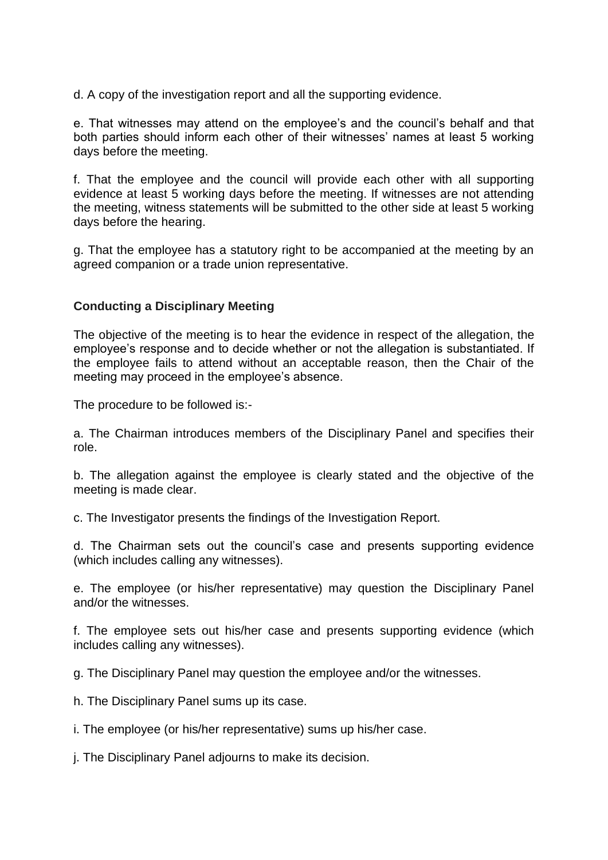d. A copy of the investigation report and all the supporting evidence.

e. That witnesses may attend on the employee's and the council's behalf and that both parties should inform each other of their witnesses' names at least 5 working days before the meeting.

f. That the employee and the council will provide each other with all supporting evidence at least 5 working days before the meeting. If witnesses are not attending the meeting, witness statements will be submitted to the other side at least 5 working days before the hearing.

g. That the employee has a statutory right to be accompanied at the meeting by an agreed companion or a trade union representative.

#### **Conducting a Disciplinary Meeting**

The objective of the meeting is to hear the evidence in respect of the allegation, the employee's response and to decide whether or not the allegation is substantiated. If the employee fails to attend without an acceptable reason, then the Chair of the meeting may proceed in the employee's absence.

The procedure to be followed is:-

a. The Chairman introduces members of the Disciplinary Panel and specifies their role.

b. The allegation against the employee is clearly stated and the objective of the meeting is made clear.

c. The Investigator presents the findings of the Investigation Report.

d. The Chairman sets out the council's case and presents supporting evidence (which includes calling any witnesses).

e. The employee (or his/her representative) may question the Disciplinary Panel and/or the witnesses.

f. The employee sets out his/her case and presents supporting evidence (which includes calling any witnesses).

g. The Disciplinary Panel may question the employee and/or the witnesses.

h. The Disciplinary Panel sums up its case.

i. The employee (or his/her representative) sums up his/her case.

j. The Disciplinary Panel adjourns to make its decision.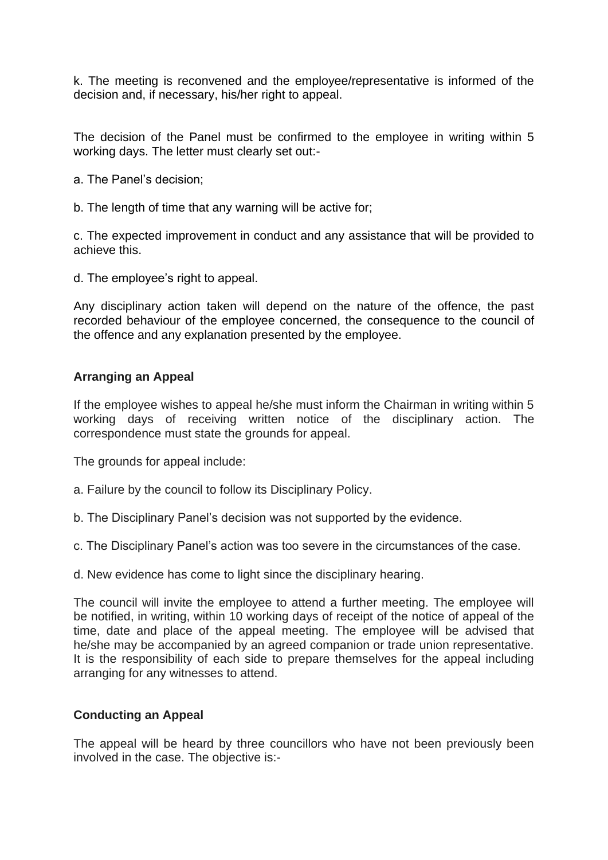k. The meeting is reconvened and the employee/representative is informed of the decision and, if necessary, his/her right to appeal.

The decision of the Panel must be confirmed to the employee in writing within 5 working days. The letter must clearly set out:-

- a. The Panel's decision;
- b. The length of time that any warning will be active for;

c. The expected improvement in conduct and any assistance that will be provided to achieve this.

d. The employee's right to appeal.

Any disciplinary action taken will depend on the nature of the offence, the past recorded behaviour of the employee concerned, the consequence to the council of the offence and any explanation presented by the employee.

#### **Arranging an Appeal**

If the employee wishes to appeal he/she must inform the Chairman in writing within 5 working days of receiving written notice of the disciplinary action. The correspondence must state the grounds for appeal.

The grounds for appeal include:

- a. Failure by the council to follow its Disciplinary Policy.
- b. The Disciplinary Panel's decision was not supported by the evidence.
- c. The Disciplinary Panel's action was too severe in the circumstances of the case.
- d. New evidence has come to light since the disciplinary hearing.

The council will invite the employee to attend a further meeting. The employee will be notified, in writing, within 10 working days of receipt of the notice of appeal of the time, date and place of the appeal meeting. The employee will be advised that he/she may be accompanied by an agreed companion or trade union representative. It is the responsibility of each side to prepare themselves for the appeal including arranging for any witnesses to attend.

## **Conducting an Appeal**

The appeal will be heard by three councillors who have not been previously been involved in the case. The objective is:-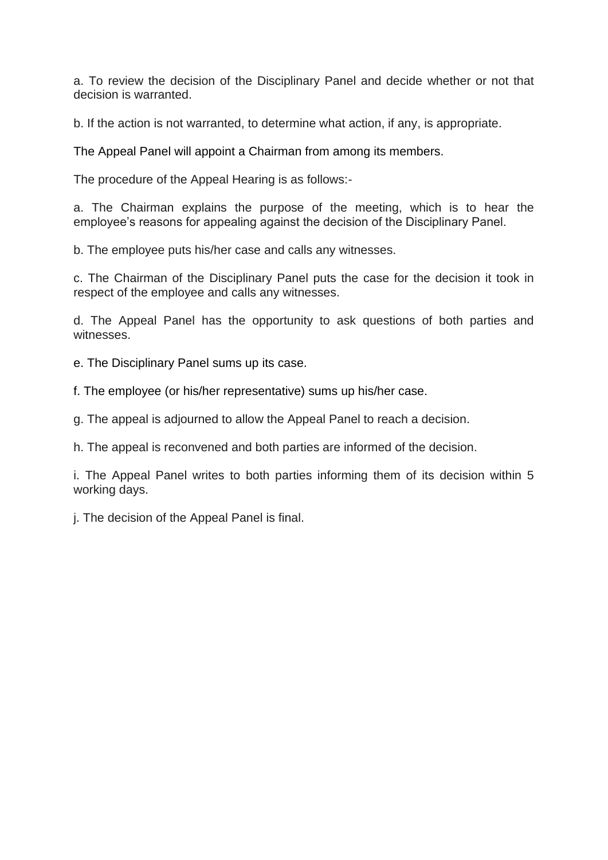a. To review the decision of the Disciplinary Panel and decide whether or not that decision is warranted.

b. If the action is not warranted, to determine what action, if any, is appropriate.

The Appeal Panel will appoint a Chairman from among its members.

The procedure of the Appeal Hearing is as follows:-

a. The Chairman explains the purpose of the meeting, which is to hear the employee's reasons for appealing against the decision of the Disciplinary Panel.

b. The employee puts his/her case and calls any witnesses.

c. The Chairman of the Disciplinary Panel puts the case for the decision it took in respect of the employee and calls any witnesses.

d. The Appeal Panel has the opportunity to ask questions of both parties and witnesses.

e. The Disciplinary Panel sums up its case.

f. The employee (or his/her representative) sums up his/her case.

g. The appeal is adjourned to allow the Appeal Panel to reach a decision.

h. The appeal is reconvened and both parties are informed of the decision.

i. The Appeal Panel writes to both parties informing them of its decision within 5 working days.

j. The decision of the Appeal Panel is final.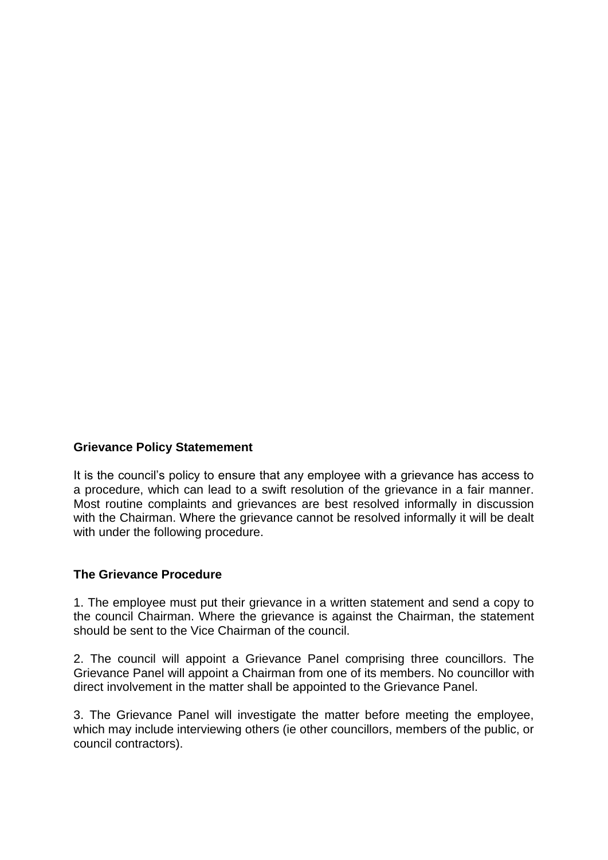## **Grievance Policy Statemement**

It is the council's policy to ensure that any employee with a grievance has access to a procedure, which can lead to a swift resolution of the grievance in a fair manner. Most routine complaints and grievances are best resolved informally in discussion with the Chairman. Where the grievance cannot be resolved informally it will be dealt with under the following procedure.

## **The Grievance Procedure**

1. The employee must put their grievance in a written statement and send a copy to the council Chairman. Where the grievance is against the Chairman, the statement should be sent to the Vice Chairman of the council.

2. The council will appoint a Grievance Panel comprising three councillors. The Grievance Panel will appoint a Chairman from one of its members. No councillor with direct involvement in the matter shall be appointed to the Grievance Panel.

3. The Grievance Panel will investigate the matter before meeting the employee, which may include interviewing others (ie other councillors, members of the public, or council contractors).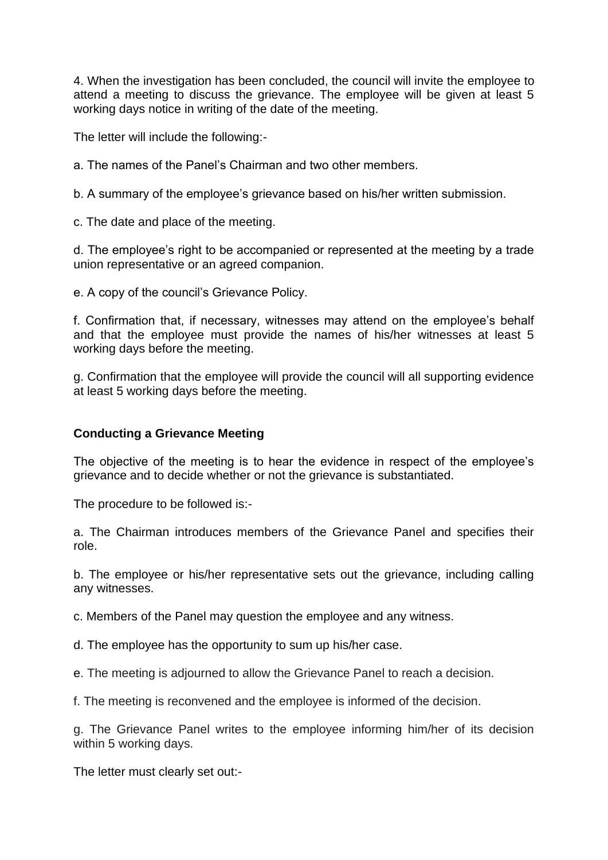4. When the investigation has been concluded, the council will invite the employee to attend a meeting to discuss the grievance. The employee will be given at least 5 working days notice in writing of the date of the meeting.

The letter will include the following:-

a. The names of the Panel's Chairman and two other members.

b. A summary of the employee's grievance based on his/her written submission.

c. The date and place of the meeting.

d. The employee's right to be accompanied or represented at the meeting by a trade union representative or an agreed companion.

e. A copy of the council's Grievance Policy.

f. Confirmation that, if necessary, witnesses may attend on the employee's behalf and that the employee must provide the names of his/her witnesses at least 5 working days before the meeting.

g. Confirmation that the employee will provide the council will all supporting evidence at least 5 working days before the meeting.

## **Conducting a Grievance Meeting**

The objective of the meeting is to hear the evidence in respect of the employee's grievance and to decide whether or not the grievance is substantiated.

The procedure to be followed is:-

a. The Chairman introduces members of the Grievance Panel and specifies their role.

b. The employee or his/her representative sets out the grievance, including calling any witnesses.

c. Members of the Panel may question the employee and any witness.

d. The employee has the opportunity to sum up his/her case.

e. The meeting is adjourned to allow the Grievance Panel to reach a decision.

f. The meeting is reconvened and the employee is informed of the decision.

g. The Grievance Panel writes to the employee informing him/her of its decision within 5 working days.

The letter must clearly set out:-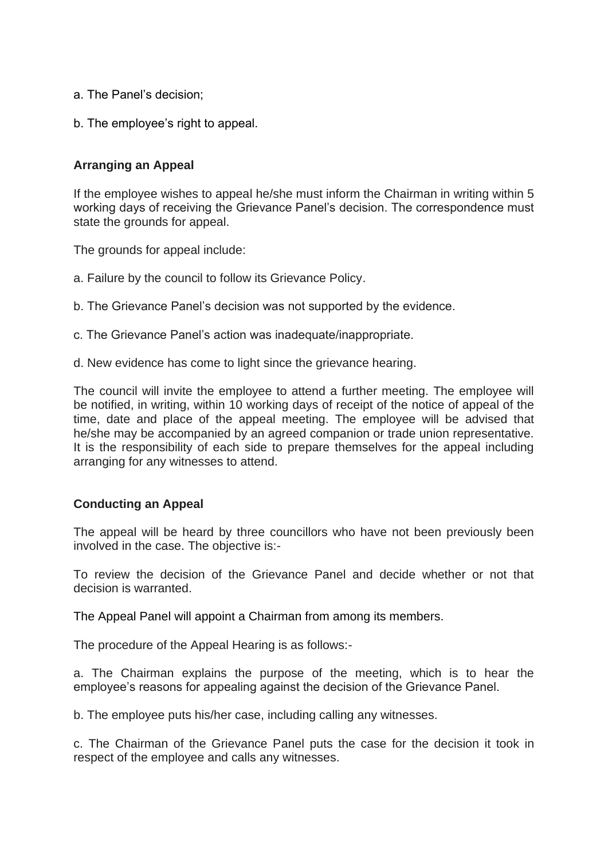- a. The Panel's decision;
- b. The employee's right to appeal.

## **Arranging an Appeal**

If the employee wishes to appeal he/she must inform the Chairman in writing within 5 working days of receiving the Grievance Panel's decision. The correspondence must state the grounds for appeal.

The grounds for appeal include:

- a. Failure by the council to follow its Grievance Policy.
- b. The Grievance Panel's decision was not supported by the evidence.
- c. The Grievance Panel's action was inadequate/inappropriate.
- d. New evidence has come to light since the grievance hearing.

The council will invite the employee to attend a further meeting. The employee will be notified, in writing, within 10 working days of receipt of the notice of appeal of the time, date and place of the appeal meeting. The employee will be advised that he/she may be accompanied by an agreed companion or trade union representative. It is the responsibility of each side to prepare themselves for the appeal including arranging for any witnesses to attend.

## **Conducting an Appeal**

The appeal will be heard by three councillors who have not been previously been involved in the case. The objective is:-

To review the decision of the Grievance Panel and decide whether or not that decision is warranted.

The Appeal Panel will appoint a Chairman from among its members.

The procedure of the Appeal Hearing is as follows:-

a. The Chairman explains the purpose of the meeting, which is to hear the employee's reasons for appealing against the decision of the Grievance Panel.

b. The employee puts his/her case, including calling any witnesses.

c. The Chairman of the Grievance Panel puts the case for the decision it took in respect of the employee and calls any witnesses.